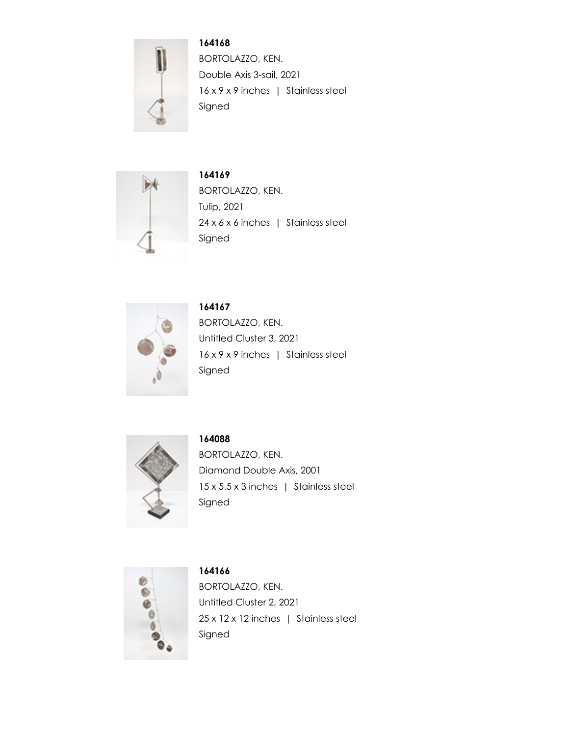

**164168** BORTOLAZZO, KEN. Double Axis 3-sail, 2021 16 x 9 x 9 inches | Stainless steel Signed



**164169** BORTOLAZZO, KEN. Tulip, 2021 24 x 6 x 6 inches | Stainless steel Signed



**164167** BORTOLAZZO, KEN. Untitled Cluster 3, 2021 16 x 9 x 9 inches | Stainless steel Signed



**164088**

BORTOLAZZO, KEN. Diamond Double Axis, 2001 15 x 5.5 x 3 inches | Stainless steel Signed



**164166** BORTOLAZZO, KEN. Untitled Cluster 2, 2021 25 x 12 x 12 inches | Stainless steel Signed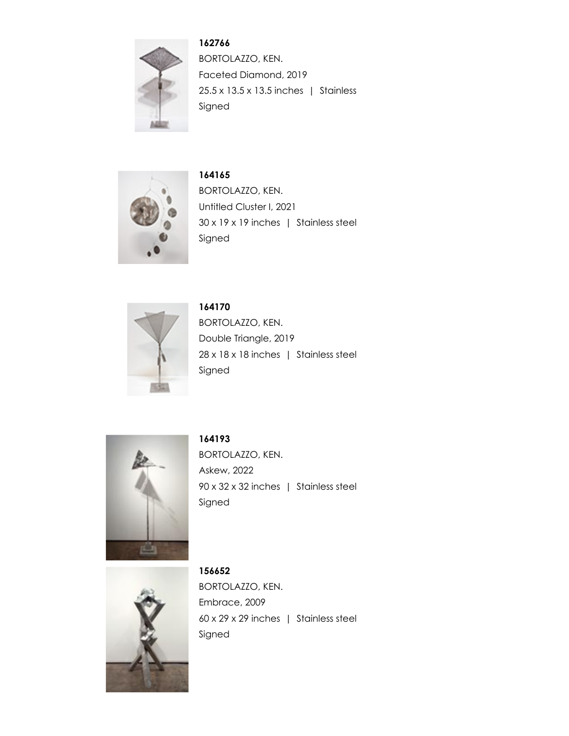

**162766** BORTOLAZZO, KEN. Faceted Diamond, 2019 25.5 x 13.5 x 13.5 inches | Stainless Signed



**164165** BORTOLAZZO, KEN. Untitled Cluster I, 2021 30 x 19 x 19 inches | Stainless steel Signed



**164170** BORTOLAZZO, KEN. Double Triangle, 2019 28 x 18 x 18 inches | Stainless steel Signed



**164193**

BORTOLAZZO, KEN. Askew, 2022 90 x 32 x 32 inches | Stainless steel Signed



**156652** BORTOLAZZO, KEN. Embrace, 2009 60 x 29 x 29 inches | Stainless steel Signed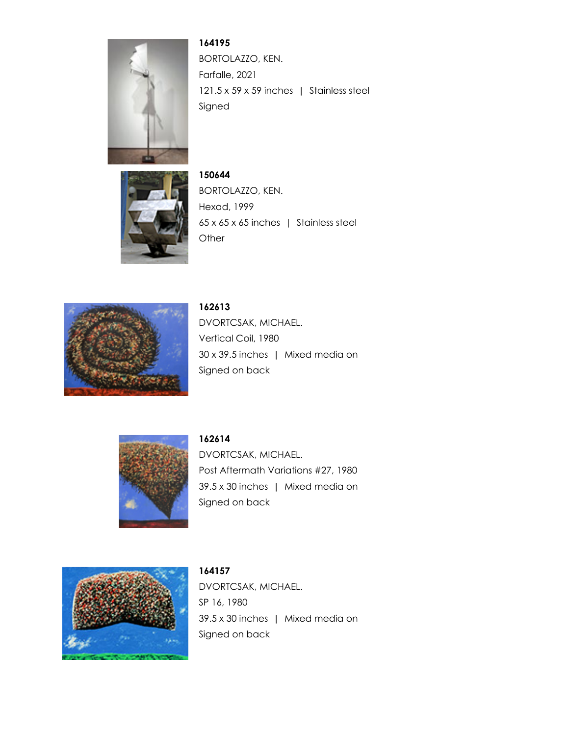

**164195** BORTOLAZZO, KEN. Farfalle, 2021 121.5 x 59 x 59 inches | Stainless steel Signed



**150644** BORTOLAZZO, KEN. Hexad, 1999 65 x 65 x 65 inches | Stainless steel **Other** 



**162613**

DVORTCSAK, MICHAEL. Vertical Coil, 1980 30 x 39.5 inches | Mixed media on Signed on back



**162614**

DVORTCSAK, MICHAEL. Post Aftermath Variations #27, 1980 39.5 x 30 inches | Mixed media on Signed on back



**164157** DVORTCSAK, MICHAEL. SP 16, 1980 39.5 x 30 inches | Mixed media on Signed on back